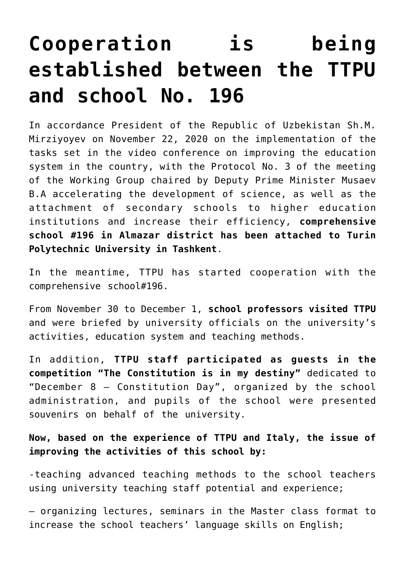## **[Cooperation is being](https://polito.uz/12807/) [established between the TTPU](https://polito.uz/12807/) [and school No. 196](https://polito.uz/12807/)**

In accordance President of the Republic of Uzbekistan Sh.M. Mirziyoyev on November 22, 2020 on the implementation of the tasks set in the video conference on improving the education system in the country, with the Protocol No. 3 of the meeting of the Working Group chaired by Deputy Prime Minister Musaev B.A accelerating the development of science, as well as the attachment of secondary schools to higher education institutions and increase their efficiency, **comprehensive school #196 in Almazar district has been attached to Turin Polytechnic University in Tashkent**.

In the meantime, TTPU has started cooperation with the comprehensive school#196.

From November 30 to December 1, **school professors visited TTPU** and were briefed by university officials on the university's activities, education system and teaching methods.

In addition, **TTPU staff participated as guests in the competition "The Constitution is in my destiny"** dedicated to "December 8 – Constitution Day", organized by the school administration, and pupils of the school were presented souvenirs on behalf of the university.

**Now, based on the experience of TTPU and Italy, the issue of improving the activities of this school by:**

-teaching advanced teaching methods to the school teachers using university teaching staff potential and experience;

– organizing lectures, seminars in the Master class format to increase the school teachers' language skills on English;